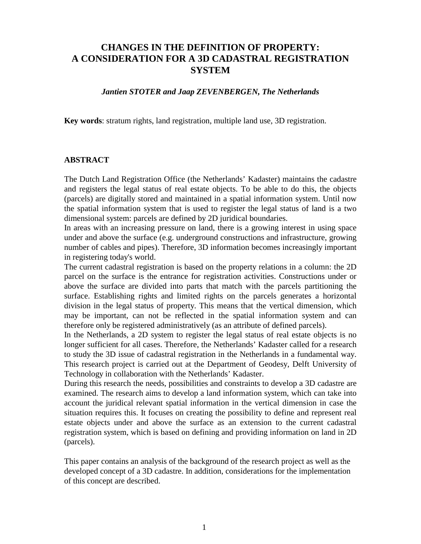# **CHANGES IN THE DEFINITION OF PROPERTY: A CONSIDERATION FOR A 3D CADASTRAL REGISTRATION SYSTEM**

### *Jantien STOTER and Jaap ZEVENBERGEN, The Netherlands*

**Key words**: stratum rights, land registration, multiple land use, 3D registration.

### **ABSTRACT**

The Dutch Land Registration Office (the Netherlands' Kadaster) maintains the cadastre and registers the legal status of real estate objects. To be able to do this, the objects (parcels) are digitally stored and maintained in a spatial information system. Until now the spatial information system that is used to register the legal status of land is a two dimensional system: parcels are defined by 2D juridical boundaries.

In areas with an increasing pressure on land, there is a growing interest in using space under and above the surface (e.g. underground constructions and infrastructure, growing number of cables and pipes). Therefore, 3D information becomes increasingly important in registering today's world.

The current cadastral registration is based on the property relations in a column: the 2D parcel on the surface is the entrance for registration activities. Constructions under or above the surface are divided into parts that match with the parcels partitioning the surface. Establishing rights and limited rights on the parcels generates a horizontal division in the legal status of property. This means that the vertical dimension, which may be important, can not be reflected in the spatial information system and can therefore only be registered administratively (as an attribute of defined parcels).

In the Netherlands, a 2D system to register the legal status of real estate objects is no longer sufficient for all cases. Therefore, the Netherlands' Kadaster called for a research to study the 3D issue of cadastral registration in the Netherlands in a fundamental way. This research project is carried out at the Department of Geodesy, Delft University of Technology in collaboration with the Netherlands' Kadaster.

During this research the needs, possibilities and constraints to develop a 3D cadastre are examined. The research aims to develop a land information system, which can take into account the juridical relevant spatial information in the vertical dimension in case the situation requires this. It focuses on creating the possibility to define and represent real estate objects under and above the surface as an extension to the current cadastral registration system, which is based on defining and providing information on land in 2D (parcels).

This paper contains an analysis of the background of the research project as well as the developed concept of a 3D cadastre. In addition, considerations for the implementation of this concept are described.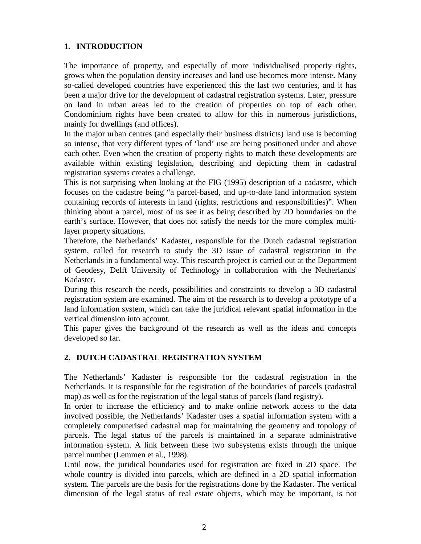# **1. INTRODUCTION**

The importance of property, and especially of more individualised property rights, grows when the population density increases and land use becomes more intense. Many so-called developed countries have experienced this the last two centuries, and it has been a major drive for the development of cadastral registration systems. Later, pressure on land in urban areas led to the creation of properties on top of each other. Condominium rights have been created to allow for this in numerous jurisdictions, mainly for dwellings (and offices).

In the major urban centres (and especially their business districts) land use is becoming so intense, that very different types of 'land' use are being positioned under and above each other. Even when the creation of property rights to match these developments are available within existing legislation, describing and depicting them in cadastral registration systems creates a challenge.

This is not surprising when looking at the FIG (1995) description of a cadastre, which focuses on the cadastre being "a parcel-based, and up-to-date land information system containing records of interests in land (rights, restrictions and responsibilities)". When thinking about a parcel, most of us see it as being described by 2D boundaries on the earth's surface. However, that does not satisfy the needs for the more complex multilayer property situations.

Therefore, the Netherlands' Kadaster, responsible for the Dutch cadastral registration system, called for research to study the 3D issue of cadastral registration in the Netherlands in a fundamental way. This research project is carried out at the Department of Geodesy, Delft University of Technology in collaboration with the Netherlands' Kadaster.

During this research the needs, possibilities and constraints to develop a 3D cadastral registration system are examined. The aim of the research is to develop a prototype of a land information system, which can take the juridical relevant spatial information in the vertical dimension into account.

This paper gives the background of the research as well as the ideas and concepts developed so far.

# **2. DUTCH CADASTRAL REGISTRATION SYSTEM**

The Netherlands' Kadaster is responsible for the cadastral registration in the Netherlands. It is responsible for the registration of the boundaries of parcels (cadastral map) as well as for the registration of the legal status of parcels (land registry).

In order to increase the efficiency and to make online network access to the data involved possible, the Netherlands' Kadaster uses a spatial information system with a completely computerised cadastral map for maintaining the geometry and topology of parcels. The legal status of the parcels is maintained in a separate administrative information system. A link between these two subsystems exists through the unique parcel number (Lemmen et al., 1998).

Until now, the juridical boundaries used for registration are fixed in 2D space. The whole country is divided into parcels, which are defined in a 2D spatial information system. The parcels are the basis for the registrations done by the Kadaster. The vertical dimension of the legal status of real estate objects, which may be important, is not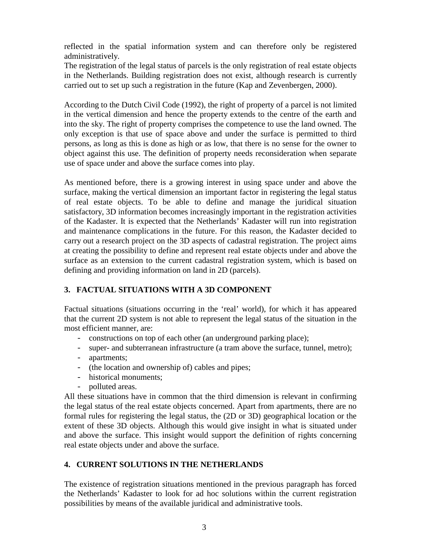reflected in the spatial information system and can therefore only be registered administratively.

The registration of the legal status of parcels is the only registration of real estate objects in the Netherlands. Building registration does not exist, although research is currently carried out to set up such a registration in the future (Kap and Zevenbergen, 2000).

According to the Dutch Civil Code (1992), the right of property of a parcel is not limited in the vertical dimension and hence the property extends to the centre of the earth and into the sky. The right of property comprises the competence to use the land owned. The only exception is that use of space above and under the surface is permitted to third persons, as long as this is done as high or as low, that there is no sense for the owner to object against this use. The definition of property needs reconsideration when separate use of space under and above the surface comes into play.

As mentioned before, there is a growing interest in using space under and above the surface, making the vertical dimension an important factor in registering the legal status of real estate objects. To be able to define and manage the juridical situation satisfactory, 3D information becomes increasingly important in the registration activities of the Kadaster. It is expected that the Netherlands' Kadaster will run into registration and maintenance complications in the future. For this reason, the Kadaster decided to carry out a research project on the 3D aspects of cadastral registration. The project aims at creating the possibility to define and represent real estate objects under and above the surface as an extension to the current cadastral registration system, which is based on defining and providing information on land in 2D (parcels).

# **3. FACTUAL SITUATIONS WITH A 3D COMPONENT**

Factual situations (situations occurring in the 'real' world), for which it has appeared that the current 2D system is not able to represent the legal status of the situation in the most efficient manner, are:

- constructions on top of each other (an underground parking place);
- super- and subterranean infrastructure (a tram above the surface, tunnel, metro);
- apartments;
- (the location and ownership of) cables and pipes;
- historical monuments;
- polluted areas.

All these situations have in common that the third dimension is relevant in confirming the legal status of the real estate objects concerned. Apart from apartments, there are no formal rules for registering the legal status, the (2D or 3D) geographical location or the extent of these 3D objects. Although this would give insight in what is situated under and above the surface. This insight would support the definition of rights concerning real estate objects under and above the surface.

# **4. CURRENT SOLUTIONS IN THE NETHERLANDS**

The existence of registration situations mentioned in the previous paragraph has forced the Netherlands' Kadaster to look for ad hoc solutions within the current registration possibilities by means of the available juridical and administrative tools.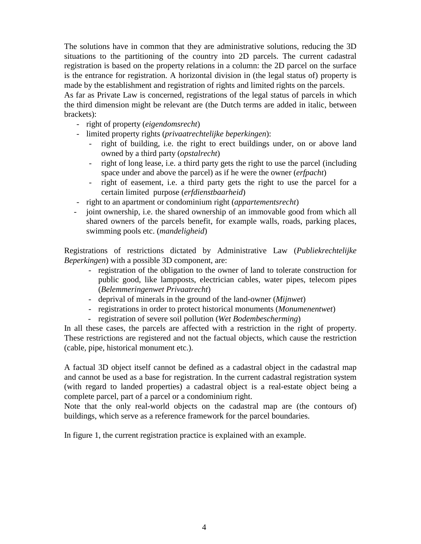The solutions have in common that they are administrative solutions, reducing the 3D situations to the partitioning of the country into 2D parcels. The current cadastral registration is based on the property relations in a column: the 2D parcel on the surface is the entrance for registration. A horizontal division in (the legal status of) property is made by the establishment and registration of rights and limited rights on the parcels.

As far as Private Law is concerned, registrations of the legal status of parcels in which the third dimension might be relevant are (the Dutch terms are added in italic, between brackets):

- right of property (*eigendomsrecht*)
- limited property rights (*privaatrechtelijke beperkingen*):
	- right of building, i.e. the right to erect buildings under, on or above land owned by a third party (*opstalrecht*)
	- right of long lease, i.e. a third party gets the right to use the parcel (including space under and above the parcel) as if he were the owner (*erfpacht*)
	- right of easement, i.e. a third party gets the right to use the parcel for a certain limited purpose (*erfdienstbaarheid*)
- right to an apartment or condominium right (*appartementsrecht*)
- joint ownership, i.e. the shared ownership of an immovable good from which all shared owners of the parcels benefit, for example walls, roads, parking places, swimming pools etc. (*mandeligheid*)

Registrations of restrictions dictated by Administrative Law (*Publiekrechtelijke Beperkingen*) with a possible 3D component, are:

- registration of the obligation to the owner of land to tolerate construction for public good, like lampposts, electrician cables, water pipes, telecom pipes (*Belemmeringenwet Privaatrecht*)
- deprival of minerals in the ground of the land-owner (*Mijnwet*)
- registrations in order to protect historical monuments (*Monumenentwet*)
- registration of severe soil pollution (*Wet Bodembescherming*)

In all these cases, the parcels are affected with a restriction in the right of property. These restrictions are registered and not the factual objects, which cause the restriction (cable, pipe, historical monument etc.).

A factual 3D object itself cannot be defined as a cadastral object in the cadastral map and cannot be used as a base for registration. In the current cadastral registration system (with regard to landed properties) a cadastral object is a real-estate object being a complete parcel, part of a parcel or a condominium right.

Note that the only real-world objects on the cadastral map are (the contours of) buildings, which serve as a reference framework for the parcel boundaries.

In figure 1, the current registration practice is explained with an example.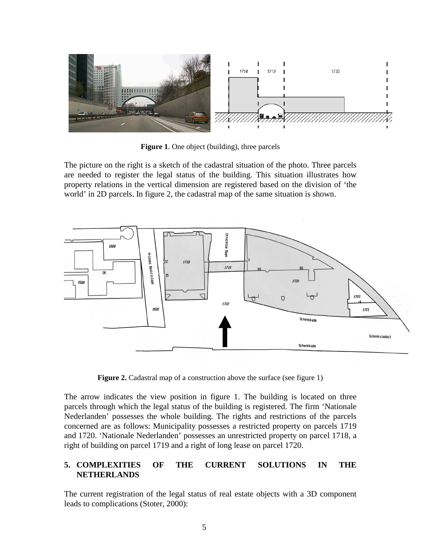

**Figure 1**. One object (building), three parcels

The picture on the right is a sketch of the cadastral situation of the photo. Three parcels are needed to register the legal status of the building. This situation illustrates how property relations in the vertical dimension are registered based on the division of 'the world' in 2D parcels. In figure 2, the cadastral map of the same situation is shown.



**Figure 2.** Cadastral map of a construction above the surface (see figure 1)

The arrow indicates the view position in figure 1. The building is located on three parcels through which the legal status of the building is registered. The firm 'Nationale Nederlanden' possesses the whole building. The rights and restrictions of the parcels concerned are as follows: Municipality possesses a restricted property on parcels 1719 and 1720. 'Nationale Nederlanden' possesses an unrestricted property on parcel 1718, a right of building on parcel 1719 and a right of long lease on parcel 1720.

# **5. COMPLEXITIES OF THE CURRENT SOLUTIONS IN THE NETHERLANDS**

The current registration of the legal status of real estate objects with a 3D component leads to complications (Stoter, 2000):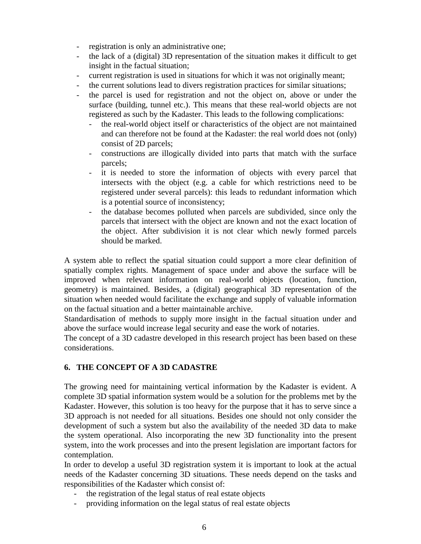- registration is only an administrative one;
- the lack of a (digital) 3D representation of the situation makes it difficult to get insight in the factual situation;
- current registration is used in situations for which it was not originally meant;
- the current solutions lead to divers registration practices for similar situations;
- the parcel is used for registration and not the object on, above or under the surface (building, tunnel etc.). This means that these real-world objects are not registered as such by the Kadaster. This leads to the following complications:
	- the real-world object itself or characteristics of the object are not maintained and can therefore not be found at the Kadaster: the real world does not (only) consist of 2D parcels;
	- constructions are illogically divided into parts that match with the surface parcels;
	- it is needed to store the information of objects with every parcel that intersects with the object (e.g. a cable for which restrictions need to be registered under several parcels): this leads to redundant information which is a potential source of inconsistency;
	- the database becomes polluted when parcels are subdivided, since only the parcels that intersect with the object are known and not the exact location of the object. After subdivision it is not clear which newly formed parcels should be marked.

A system able to reflect the spatial situation could support a more clear definition of spatially complex rights. Management of space under and above the surface will be improved when relevant information on real-world objects (location, function, geometry) is maintained. Besides, a (digital) geographical 3D representation of the situation when needed would facilitate the exchange and supply of valuable information on the factual situation and a better maintainable archive.

Standardisation of methods to supply more insight in the factual situation under and above the surface would increase legal security and ease the work of notaries.

The concept of a 3D cadastre developed in this research project has been based on these considerations.

# **6. THE CONCEPT OF A 3D CADASTRE**

The growing need for maintaining vertical information by the Kadaster is evident. A complete 3D spatial information system would be a solution for the problems met by the Kadaster. However, this solution is too heavy for the purpose that it has to serve since a 3D approach is not needed for all situations. Besides one should not only consider the development of such a system but also the availability of the needed 3D data to make the system operational. Also incorporating the new 3D functionality into the present system, into the work processes and into the present legislation are important factors for contemplation.

In order to develop a useful 3D registration system it is important to look at the actual needs of the Kadaster concerning 3D situations. These needs depend on the tasks and responsibilities of the Kadaster which consist of:

- the registration of the legal status of real estate objects
- providing information on the legal status of real estate objects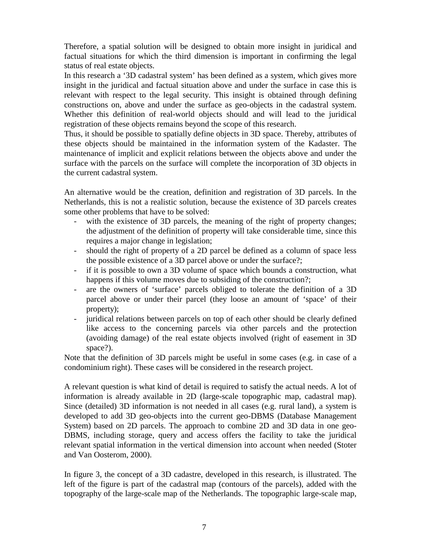Therefore, a spatial solution will be designed to obtain more insight in juridical and factual situations for which the third dimension is important in confirming the legal status of real estate objects.

In this research a '3D cadastral system' has been defined as a system, which gives more insight in the juridical and factual situation above and under the surface in case this is relevant with respect to the legal security. This insight is obtained through defining constructions on, above and under the surface as geo-objects in the cadastral system. Whether this definition of real-world objects should and will lead to the juridical registration of these objects remains beyond the scope of this research.

Thus, it should be possible to spatially define objects in 3D space. Thereby, attributes of these objects should be maintained in the information system of the Kadaster. The maintenance of implicit and explicit relations between the objects above and under the surface with the parcels on the surface will complete the incorporation of 3D objects in the current cadastral system.

An alternative would be the creation, definition and registration of 3D parcels. In the Netherlands, this is not a realistic solution, because the existence of 3D parcels creates some other problems that have to be solved:

- with the existence of 3D parcels, the meaning of the right of property changes; the adjustment of the definition of property will take considerable time, since this requires a major change in legislation;
- should the right of property of a 2D parcel be defined as a column of space less the possible existence of a 3D parcel above or under the surface?;
- if it is possible to own a 3D volume of space which bounds a construction, what happens if this volume moves due to subsiding of the construction?;
- are the owners of 'surface' parcels obliged to tolerate the definition of a 3D parcel above or under their parcel (they loose an amount of 'space' of their property);
- juridical relations between parcels on top of each other should be clearly defined like access to the concerning parcels via other parcels and the protection (avoiding damage) of the real estate objects involved (right of easement in 3D space?).

Note that the definition of 3D parcels might be useful in some cases (e.g. in case of a condominium right). These cases will be considered in the research project.

A relevant question is what kind of detail is required to satisfy the actual needs. A lot of information is already available in 2D (large-scale topographic map, cadastral map). Since (detailed) 3D information is not needed in all cases (e.g. rural land), a system is developed to add 3D geo-objects into the current geo-DBMS (Database Management System) based on 2D parcels. The approach to combine 2D and 3D data in one geo-DBMS, including storage, query and access offers the facility to take the juridical relevant spatial information in the vertical dimension into account when needed (Stoter and Van Oosterom, 2000).

In figure 3, the concept of a 3D cadastre, developed in this research, is illustrated. The left of the figure is part of the cadastral map (contours of the parcels), added with the topography of the large-scale map of the Netherlands. The topographic large-scale map,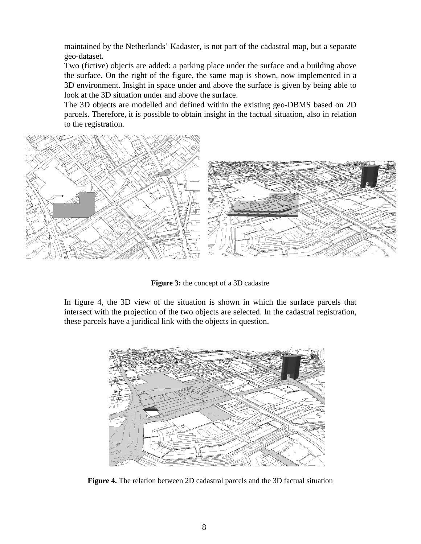maintained by the Netherlands' Kadaster, is not part of the cadastral map, but a separate geo-dataset.

Two (fictive) objects are added: a parking place under the surface and a building above the surface. On the right of the figure, the same map is shown, now implemented in a 3D environment. Insight in space under and above the surface is given by being able to look at the 3D situation under and above the surface.

The 3D objects are modelled and defined within the existing geo-DBMS based on 2D parcels. Therefore, it is possible to obtain insight in the factual situation, also in relation to the registration.



**Figure 3:** the concept of a 3D cadastre

In figure 4, the 3D view of the situation is shown in which the surface parcels that intersect with the projection of the two objects are selected. In the cadastral registration, these parcels have a juridical link with the objects in question.



**Figure 4.** The relation between 2D cadastral parcels and the 3D factual situation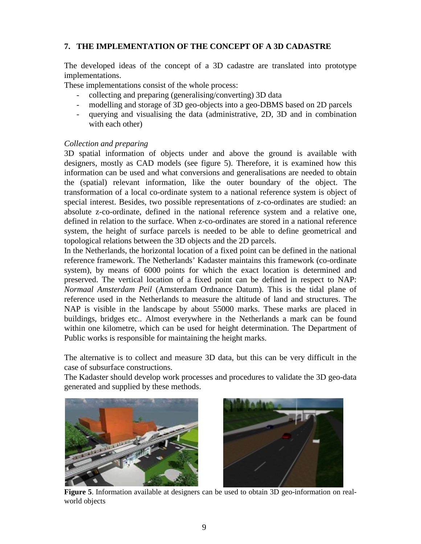# **7. THE IMPLEMENTATION OF THE CONCEPT OF A 3D CADASTRE**

The developed ideas of the concept of a 3D cadastre are translated into prototype implementations.

These implementations consist of the whole process:

- collecting and preparing (generalising/converting) 3D data
- modelling and storage of 3D geo-objects into a geo-DBMS based on 2D parcels
- querying and visualising the data (administrative, 2D, 3D and in combination with each other)

# *Collection and preparing*

3D spatial information of objects under and above the ground is available with designers, mostly as CAD models (see figure 5). Therefore, it is examined how this information can be used and what conversions and generalisations are needed to obtain the (spatial) relevant information, like the outer boundary of the object. The transformation of a local co-ordinate system to a national reference system is object of special interest. Besides, two possible representations of z-co-ordinates are studied: an absolute z-co-ordinate, defined in the national reference system and a relative one, defined in relation to the surface. When z-co-ordinates are stored in a national reference system, the height of surface parcels is needed to be able to define geometrical and topological relations between the 3D objects and the 2D parcels.

In the Netherlands, the horizontal location of a fixed point can be defined in the national reference framework. The Netherlands' Kadaster maintains this framework (co-ordinate system), by means of 6000 points for which the exact location is determined and preserved. The vertical location of a fixed point can be defined in respect to NAP: *Normaal Amsterdam Peil* (Amsterdam Ordnance Datum). This is the tidal plane of reference used in the Netherlands to measure the altitude of land and structures. The NAP is visible in the landscape by about 55000 marks. These marks are placed in buildings, bridges etc.. Almost everywhere in the Netherlands a mark can be found within one kilometre, which can be used for height determination. The Department of Public works is responsible for maintaining the height marks.

The alternative is to collect and measure 3D data, but this can be very difficult in the case of subsurface constructions.

The Kadaster should develop work processes and procedures to validate the 3D geo-data generated and supplied by these methods.





**Figure 5**. Information available at designers can be used to obtain 3D geo-information on realworld objects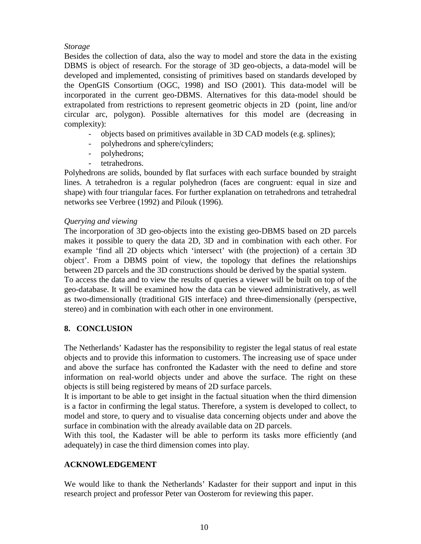# *Storage*

Besides the collection of data, also the way to model and store the data in the existing DBMS is object of research. For the storage of 3D geo-objects, a data-model will be developed and implemented, consisting of primitives based on standards developed by the OpenGIS Consortium (OGC, 1998) and ISO (2001). This data-model will be incorporated in the current geo-DBMS. Alternatives for this data-model should be extrapolated from restrictions to represent geometric objects in 2D (point, line and/or circular arc, polygon). Possible alternatives for this model are (decreasing in complexity):

- objects based on primitives available in 3D CAD models (e.g. splines);
- polyhedrons and sphere/cylinders;
- polyhedrons;
- tetrahedrons.

Polyhedrons are solids, bounded by flat surfaces with each surface bounded by straight lines. A tetrahedron is a regular polyhedron (faces are congruent: equal in size and shape) with four triangular faces. For further explanation on tetrahedrons and tetrahedral networks see Verbree (1992) and Pilouk (1996).

# *Querying and viewing*

The incorporation of 3D geo-objects into the existing geo-DBMS based on 2D parcels makes it possible to query the data 2D, 3D and in combination with each other. For example 'find all 2D objects which 'intersect' with (the projection) of a certain 3D object'. From a DBMS point of view, the topology that defines the relationships between 2D parcels and the 3D constructions should be derived by the spatial system.

To access the data and to view the results of queries a viewer will be built on top of the geo-database. It will be examined how the data can be viewed administratively, as well as two-dimensionally (traditional GIS interface) and three-dimensionally (perspective, stereo) and in combination with each other in one environment.

# **8. CONCLUSION**

The Netherlands' Kadaster has the responsibility to register the legal status of real estate objects and to provide this information to customers. The increasing use of space under and above the surface has confronted the Kadaster with the need to define and store information on real-world objects under and above the surface. The right on these objects is still being registered by means of 2D surface parcels.

It is important to be able to get insight in the factual situation when the third dimension is a factor in confirming the legal status. Therefore, a system is developed to collect, to model and store, to query and to visualise data concerning objects under and above the surface in combination with the already available data on 2D parcels.

With this tool, the Kadaster will be able to perform its tasks more efficiently (and adequately) in case the third dimension comes into play.

# **ACKNOWLEDGEMENT**

We would like to thank the Netherlands' Kadaster for their support and input in this research project and professor Peter van Oosterom for reviewing this paper.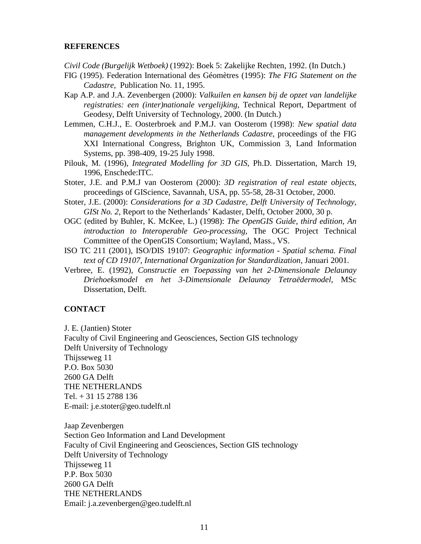### **REFERENCES**

*Civil Code (Burgelijk Wetboek)* (1992): Boek 5: Zakelijke Rechten, 1992. (In Dutch.)

- FIG (1995). Federation International des Géomètres (1995): *The FIG Statement on the Cadastre,* Publication No. 11, 1995.
- Kap A.P. and J.A. Zevenbergen (2000): *Valkuilen en kansen bij de opzet van landelijke registraties: een (inter)nationale vergelijking*, Technical Report, Department of Geodesy, Delft University of Technology, 2000. (In Dutch.)
- Lemmen, C.H.J., E. Oosterbroek and P.M.J. van Oosterom (1998): *New spatial data management developments in the Netherlands Cadastre*, proceedings of the FIG XXI International Congress, Brighton UK, Commission 3, Land Information Systems, pp. 398-409, 19-25 July 1998.
- Pilouk, M. (1996), *Integrated Modelling for 3D GIS*, Ph.D. Dissertation, March 19, 1996, Enschede:ITC.
- Stoter, J.E. and P.M.J van Oosterom (2000): *3D registration of real estate objects*, proceedings of GIScience, Savannah, USA, pp. 55-58, 28-31 October, 2000.
- Stoter, J.E. (2000): *Considerations for a 3D Cadastre, Delft University of Technology, GISt No. 2,* Report to the Netherlands' Kadaster, Delft, October 2000, 30 p.
- OGC (edited by Buhler, K. McKee, L.) (1998): *The OpenGIS Guide, third edition, An introduction to Interoperable Geo-processing*, The OGC Project Technical Committee of the OpenGIS Consortium; Wayland, Mass., VS.
- ISO TC 211 (2001), ISO/DIS 19107: *Geographic information Spatial schema. Final text of CD 19107, International Organization for Standardization*, Januari 2001.
- Verbree, E. (1992), *Constructie en Toepassing van het 2-Dimensionale Delaunay Driehoeksmodel en het 3-Dimensionale Delaunay Tetraëdermodel*, MSc Dissertation, Delft.

#### **CONTACT**

J. E. (Jantien) Stoter

Faculty of Civil Engineering and Geosciences, Section GIS technology

Delft University of Technology

Thijsseweg 11

P.O. Box 5030

2600 GA Delft

THE NETHERLANDS

Tel. + 31 15 2788 136

E-mail: j.e.stoter@geo.tudelft.nl

Jaap Zevenbergen Section Geo Information and Land Development Faculty of Civil Engineering and Geosciences, Section GIS technology Delft University of Technology Thijsseweg 11 P.P. Box 5030 2600 GA Delft THE NETHERLANDS Email: j.a.zevenbergen@geo.tudelft.nl